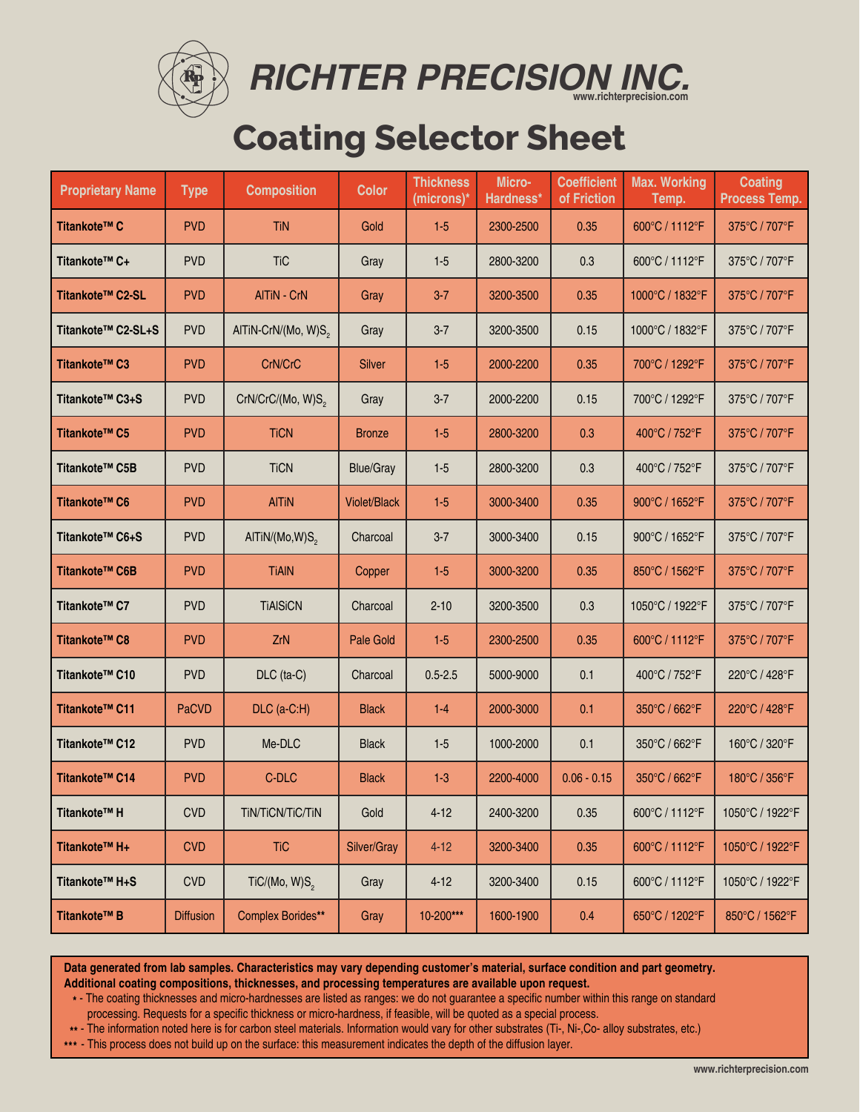

*RICHTER PRECISION INC.* **www.richterprecision.com**

# **Coating Selector Sheet**

| <b>Proprietary Name</b> | <b>Type</b>      | <b>Composition</b>              | <b>Color</b>        | <b>Thickness</b><br>(microns)* | Micro-<br>Hardness* | <b>Coefficient</b><br>of Friction | <b>Max. Working</b><br>Temp. | <b>Coating</b><br><b>Process Temp.</b> |
|-------------------------|------------------|---------------------------------|---------------------|--------------------------------|---------------------|-----------------------------------|------------------------------|----------------------------------------|
| Titankote™ C            | <b>PVD</b>       | <b>TiN</b>                      | Gold                | $1 - 5$                        | 2300-2500           | 0.35                              | 600°C / 1112°F               | 375°C / 707°F                          |
| Titankote™ C+           | <b>PVD</b>       | <b>TiC</b>                      | Gray                | $1 - 5$                        | 2800-3200           | 0.3                               | 600°C / 1112°F               | 375°C / 707°F                          |
| Titankote™ C2-SL        | <b>PVD</b>       | AlTiN - CrN                     | Gray                | $3 - 7$                        | 3200-3500           | 0.35                              | 1000°C / 1832°F              | 375°C / 707°F                          |
| Titankote™ C2-SL+S      | <b>PVD</b>       | AlTiN-CrN/(Mo, W)S <sub>2</sub> | Gray                | $3 - 7$                        | 3200-3500           | 0.15                              | 1000°C / 1832°F              | 375°C / 707°F                          |
| Titankote™ C3           | <b>PVD</b>       | CrN/CrC                         | <b>Silver</b>       | $1-5$                          | 2000-2200           | 0.35                              | 700°C / 1292°F               | 375°C / 707°F                          |
| Titankote™ C3+S         | <b>PVD</b>       | CrN/CrC/(Mo, W)S <sub>2</sub>   | Gray                | $3 - 7$                        | 2000-2200           | 0.15                              | 700°C / 1292°F               | 375°C / 707°F                          |
| Titankote™ C5           | <b>PVD</b>       | <b>TiCN</b>                     | <b>Bronze</b>       | $1-5$                          | 2800-3200           | 0.3                               | 400°C / 752°F                | 375°C / 707°F                          |
| Titankote™ C5B          | <b>PVD</b>       | <b>TiCN</b>                     | <b>Blue/Gray</b>    | $1 - 5$                        | 2800-3200           | 0.3                               | 400°C / 752°F                | 375°C / 707°F                          |
| Titankote™ C6           | <b>PVD</b>       | <b>AITIN</b>                    | <b>Violet/Black</b> | $1-5$                          | 3000-3400           | 0.35                              | 900°C / 1652°F               | 375°C / 707°F                          |
| Titankote™ C6+S         | <b>PVD</b>       | AlTiN/(Mo,W)S <sub>2</sub>      | Charcoal            | $3 - 7$                        | 3000-3400           | 0.15                              | 900°C / 1652°F               | 375°C / 707°F                          |
| Titankote™ C6B          | <b>PVD</b>       | <b>TiAIN</b>                    | Copper              | $1-5$                          | 3000-3200           | 0.35                              | 850°C / 1562°F               | 375°C / 707°F                          |
| Titankote™ C7           | <b>PVD</b>       | <b>TIAISICN</b>                 | Charcoal            | $2 - 10$                       | 3200-3500           | 0.3                               | 1050°C / 1922°F              | 375°C / 707°F                          |
| Titankote™ C8           | <b>PVD</b>       | ZrN                             | Pale Gold           | $1-5$                          | 2300-2500           | 0.35                              | 600°C / 1112°F               | 375°C / 707°F                          |
| Titankote™ C10          | <b>PVD</b>       | DLC (ta-C)                      | Charcoal            | $0.5 - 2.5$                    | 5000-9000           | 0.1                               | 400°C / 752°F                | 220°C / 428°F                          |
| Titankote™ C11          | PaCVD            | DLC (a-C:H)                     | <b>Black</b>        | $1-4$                          | 2000-3000           | 0.1                               | 350°C / 662°F                | 220°C / 428°F                          |
| Titankote™ C12          | <b>PVD</b>       | Me-DLC                          | <b>Black</b>        | $1 - 5$                        | 1000-2000           | 0.1                               | 350°C / 662°F                | 160°C / 320°F                          |
| Titankote™ C14          | <b>PVD</b>       | C-DLC                           | <b>Black</b>        | $1 - 3$                        | 2200-4000           | $0.06 - 0.15$                     | 350°C / 662°F                | 180°C / 356°F                          |
| Titankote™ H            | <b>CVD</b>       | TIN/TICN/TIC/TIN                | Gold                | $4 - 12$                       | 2400-3200           | 0.35                              | 600°C / 1112°F               | 1050°C / 1922°F                        |
| Titankote™ H+           | <b>CVD</b>       | <b>TiC</b>                      | Silver/Gray         | $4 - 12$                       | 3200-3400           | 0.35                              | 600°C / 1112°F               | 1050°C / 1922°F                        |
| Titankote™ H+S          | <b>CVD</b>       | TiC/(Mo, W)S <sub>2</sub>       | Gray                | $4 - 12$                       | 3200-3400           | 0.15                              | 600°C / 1112°F               | 1050°C / 1922°F                        |
| Titankote™ B            | <b>Diffusion</b> | Complex Borides**               | Gray                | 10-200***                      | 1600-1900           | 0.4                               | 650°C / 1202°F               | 850°C / 1562°F                         |

**Data generated from lab samples. Characteristics may vary depending customer's material, surface condition and part geometry. Additional coating compositions, thicknesses, and processing temperatures are available upon request.**

**\*** - The coating thicknesses and micro-hardnesses are listed as ranges: we do not guarantee a specific number within this range on standard

processing. Requests for a specific thickness or micro-hardness, if feasible, will be quoted as a special process.

**\*\*** - The information noted here is for carbon steel materials. Information would vary for other substrates (Ti-, Ni-,Co- alloy substrates, etc.)

**\*\*\*** - This process does not build up on the surface: this measurement indicates the depth of the diffusion layer.